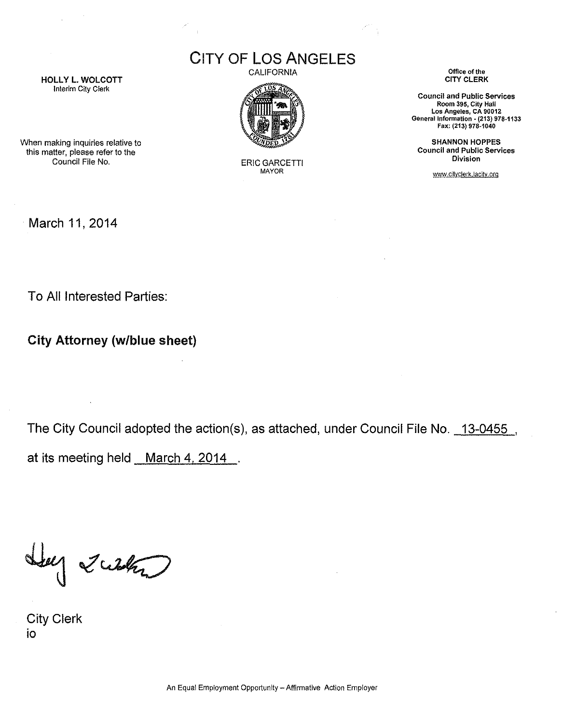CITY OF Los ANGELES

CALIFORNIA



**ERIC GARCETTI** MAYOR

Office of the CITY CLERK

Council and Public Services Room 395, City Hall Los Angeles, CA 90012 General Information • (213) 978·1133 Fax: (213) 978·1040

SHANNON HOPPES Council and Public Services Division

www.cityclerk.lacity.org

**HOLLY L. WOLCOTT** Interim City Clerk

When making inquiries relative to this matter, please refer to the

March 11,2014

To All Interested Parties:

City Attorney (w/blue sheet)

The City Council adopted the action(s), as attached, under Council File No. 13-0455, at its meeting held March 4, 2014.

Lug 2 with

City Clerk io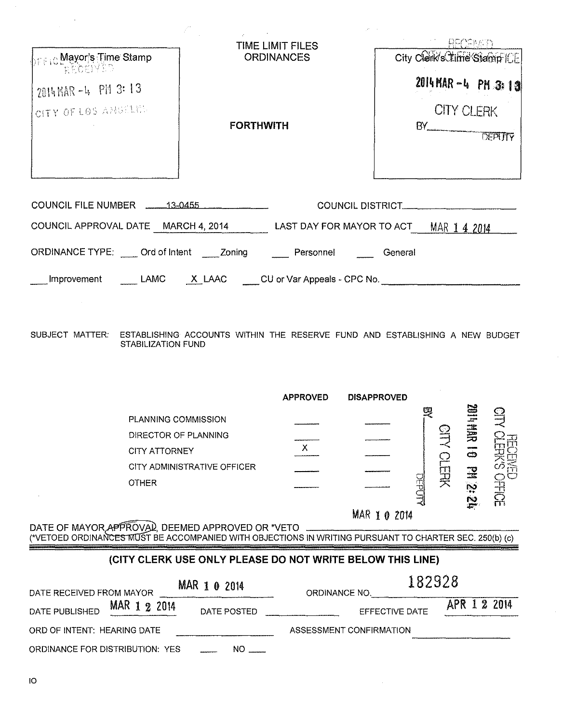| <mark>իբ ⊧լն Mayor's Time Stamp</mark> | TIME LIMIT FILES<br><b>ORDINANCES</b>                                                                                      | RECEIVED<br>City Clerk's Lime'Stamp [CE] |  |  |
|----------------------------------------|----------------------------------------------------------------------------------------------------------------------------|------------------------------------------|--|--|
| <b>RECENSS</b><br>2014 MAR -4 PM 3: 13 |                                                                                                                            | 2014 MAR -4 PM 3:13                      |  |  |
| CITY OF LOS ANGELES                    | <b>FORTHWITH</b>                                                                                                           | CITY CLERK                               |  |  |
|                                        | COUNCIL FILE NUMBER 13-0455 COUNCIL DISTRICT<br>COUNCIL APPROVAL DATE MARCH 4, 2014 LAST DAY FOR MAYOR TO ACT MAR 1 4 2014 |                                          |  |  |
|                                        | ORDINANCE TYPE: ____ Ord of Intent ____ Zoning ______ Personnel ______ General                                             |                                          |  |  |
|                                        | __Improvement ______LAMC ____X_LAAC _____CU or Var Appeals - CPC No.                                                       |                                          |  |  |
| SUBJECT MATTER:<br>STABILIZATION FUND  | ESTABLISHING ACCOUNTS WITHIN THE RESERVE FUND AND ESTABLISHING A NEW BUDGET                                                |                                          |  |  |

|                             | <b>APPROVED</b> | <b>DISAPPROVED</b> |              |                                                 |   |
|-----------------------------|-----------------|--------------------|--------------|-------------------------------------------------|---|
| PLANNING COMMISSION         |                 |                    | œ            | C3<br>وعزها سمناه<br>$\mathcal{X}^{\text{unr}}$ |   |
| DIRECTOR OF PLANNING        |                 |                    | پير          | <b>Jimes</b>                                    |   |
| <b>CITY ATTORNEY</b>        |                 |                    | <b>SMALL</b> | ت                                               |   |
| CITY ADMINISTRATIVE OFFICER |                 |                    |              | 믍                                               |   |
| <b>OTHER</b>                |                 |                    | 晶<br>宍       | Ç٦                                              | 玊 |
|                             |                 | MAR                |              | t<br>P                                          |   |

DATE OF MAYOR APPROVAL, DEEMED APPROVED OR \*VETO<br>(\*VETOED ORDINANCES MUST BE ACCOMPANIED WITH OBJECTIONS IN WRITING PURSUANT TO CHARTER SEC. 250(b) (c) <u> 1980 - Jan Barrison, Amerikaansk filosof (f. 1980)</u>

# (CITY CLERK USE ONLY PLEASE DO NOT WRITE BELOW THIS LINE)

| MAR 1 0 2014<br>DATE RECEIVED FROM MAYOR |             | 182928<br>ORDINANCE NO. |              |  |
|------------------------------------------|-------------|-------------------------|--------------|--|
| MAR 1 2 2014<br>DATE PUBLISHED           | DATE POSTED | EFFECTIVE DATE          | APR 1 2 2014 |  |
| ORD OF INTENT: HEARING DATE              |             | ASSESSMENT CONFIRMATION |              |  |
| ORDINANCE FOR DISTRIBUTION: YES          | NO L        |                         |              |  |

 $\sim$  $\mathcal{L}_{\mathcal{L}}$ 

 $\hat{\mathcal{L}}$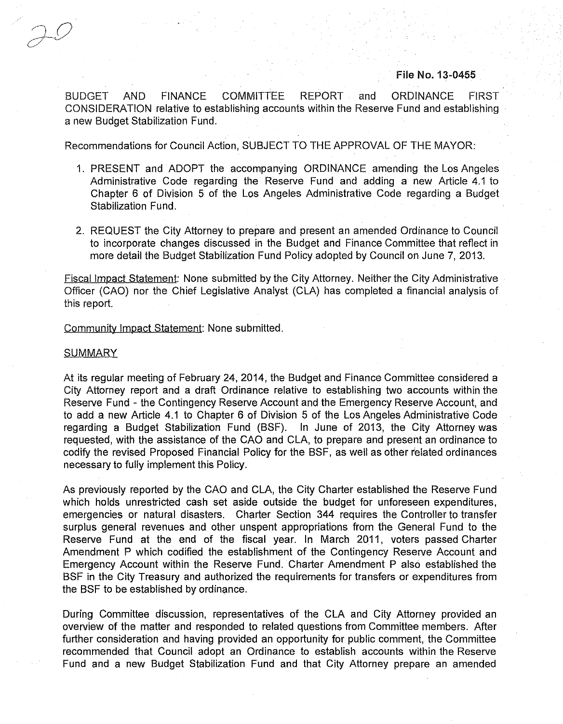### File No. 13-0455

BUDGET AND FINANCE COMMITTEE REPORT and ORDINANCE FIRST CONSIDERATION relative to establishing accounts within the Reserve Fund and establishing a new Budget Stabilization Fund.

Recommendations for Council Action, SUBJECT TO THE APPROVAL OF THE MAYOR:

- 1. PRESENT and ADOPT the accompanying ORDINANCE amending the Los Angeles Administrative Code regarding the Reserve Fund and adding a new Article 4.1 to Chapter 6 of Division 5 of the Los Angeles Administrative Code regarding a Budget Stabilization Fund.
- 2. REQUEST the City Attorney to prepare and present an amended Ordinance to Council to incorporate changes discussed in the Budget and Finance Committee that reflect in more detail the Budget Stabilization Fund Policy adopted by Council on June 7, 2013.

Fiscal Impact Statement: None submitted by the City Attorney. Neither the City Administrative Officer (CAO) nor the Chief Legislative Analyst (CLA) has completed a financial analysis of this report.

#### Community Impact Statement: None submitted.

#### **SUMMARY**

At its regular meeting of February 24, 2014, the Budget and Finance Committee considered a City Attorney report and a draft Ordinance relative to establishing two accounts within the Reserve Fund - the Contingency Reserve Account and the Emergency Reserve Account, and to add a new Article 4.1 to Chapter 6 of Division 5 of the Los Angeles Administrative Code regarding a Budget Stabilization Fund (BSF). In June of 2013, the City Attorney was requested, with the assistance of the CAO and CLA, to prepare and present an ordinance to codify the revised Proposed Financial Policy for the BSF, as well as other related ordinances necessary to fully implement this Policy.

As previously reported by the CAO and CLA, the City Charter established the Reserve Fund which holds unrestricted cash set aside outside the budget for unforeseen expenditures, emergencies or natural disasters. Charter Section 344 requires the Controller to transfer surplus general revenues and other unspent appropriations from the General Fund to the Reserve Fund at the end of the fiscal year. In March 2011, voters passed Charter Amendment P which codified the establishment of the Contingency Reserve Account and Emergency Account within the Reserve Fund. Charter Amendment P also established the BSF in the City Treasury and authorized the requirements for transfers or expenditures from the BSF to be established by ordinance.

During Committee discussion, representatives of the CLA and City Attomey provided an overview of the matter and responded to related questions from Committee members. After further consideration and having provided an opportunity for public comment, the Committee recommended that Council adopt an Ordinance to establish accounts within the Reserve Fund and a new Budget Stabilization Fund and that City Attorney prepare an amended